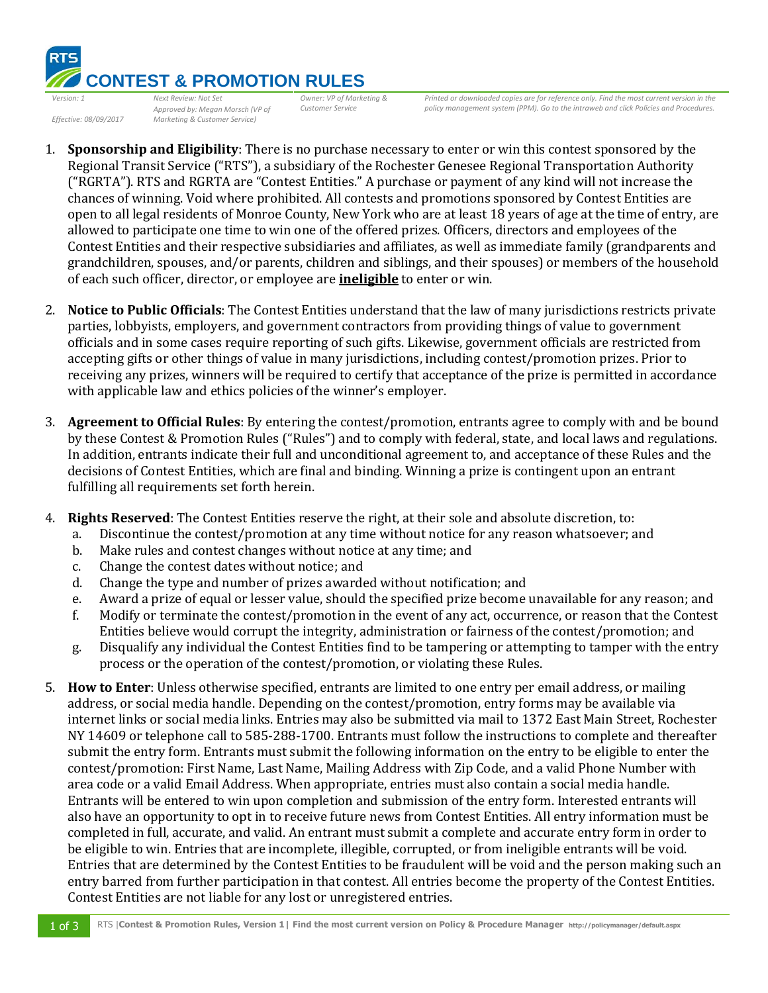

*Effective: 08/09/2017*

*Approved by: Megan Morsch (VP of Marketing & Customer Service)* 

*Printed or downloaded copies are for reference only. Find the most current version in the policy management system (PPM). Go to the intraweb and click Policies and Procedures.* 

1. **Sponsorship and Eligibility**: There is no purchase necessary to enter or win this contest sponsored by the Regional Transit Service ("RTS"), a subsidiary of the Rochester Genesee Regional Transportation Authority ("RGRTA"). RTS and RGRTA are "Contest Entities." A purchase or payment of any kind will not increase the chances of winning. Void where prohibited. All contests and promotions sponsored by Contest Entities are open to all legal residents of Monroe County, New York who are at least 18 years of age at the time of entry, are allowed to participate one time to win one of the offered prizes. Officers, directors and employees of the Contest Entities and their respective subsidiaries and affiliates, as well as immediate family (grandparents and grandchildren, spouses, and/or parents, children and siblings, and their spouses) or members of the household of each such officer, director, or employee are **ineligible** to enter or win.

*Customer Service*

- 2. **Notice to Public Officials**: The Contest Entities understand that the law of many jurisdictions restricts private parties, lobbyists, employers, and government contractors from providing things of value to government officials and in some cases require reporting of such gifts. Likewise, government officials are restricted from accepting gifts or other things of value in many jurisdictions, including contest/promotion prizes. Prior to receiving any prizes, winners will be required to certify that acceptance of the prize is permitted in accordance with applicable law and ethics policies of the winner's employer.
- 3. **Agreement to Official Rules**: By entering the contest/promotion, entrants agree to comply with and be bound by these Contest & Promotion Rules ("Rules") and to comply with federal, state, and local laws and regulations. In addition, entrants indicate their full and unconditional agreement to, and acceptance of these Rules and the decisions of Contest Entities, which are final and binding. Winning a prize is contingent upon an entrant fulfilling all requirements set forth herein.
- 4. **Rights Reserved**: The Contest Entities reserve the right, at their sole and absolute discretion, to:
	- a. Discontinue the contest/promotion at any time without notice for any reason whatsoever; and
	- b. Make rules and contest changes without notice at any time; and
	- c. Change the contest dates without notice; and
	- d. Change the type and number of prizes awarded without notification; and
	- e. Award a prize of equal or lesser value, should the specified prize become unavailable for any reason; and
	- f. Modify or terminate the contest/promotion in the event of any act, occurrence, or reason that the Contest Entities believe would corrupt the integrity, administration or fairness of the contest/promotion; and
	- g. Disqualify any individual the Contest Entities find to be tampering or attempting to tamper with the entry process or the operation of the contest/promotion, or violating these Rules.
- 5. **How to Enter**: Unless otherwise specified, entrants are limited to one entry per email address, or mailing address, or social media handle. Depending on the contest/promotion, entry forms may be available via internet links or social media links. Entries may also be submitted via mail to 1372 East Main Street, Rochester NY 14609 or telephone call to 585-288-1700. Entrants must follow the instructions to complete and thereafter submit the entry form. Entrants must submit the following information on the entry to be eligible to enter the contest/promotion: First Name, Last Name, Mailing Address with Zip Code, and a valid Phone Number with area code or a valid Email Address. When appropriate, entries must also contain a social media handle. Entrants will be entered to win upon completion and submission of the entry form. Interested entrants will also have an opportunity to opt in to receive future news from Contest Entities. All entry information must be completed in full, accurate, and valid. An entrant must submit a complete and accurate entry form in order to be eligible to win. Entries that are incomplete, illegible, corrupted, or from ineligible entrants will be void. Entries that are determined by the Contest Entities to be fraudulent will be void and the person making such an entry barred from further participation in that contest. All entries become the property of the Contest Entities. Contest Entities are not liable for any lost or unregistered entries.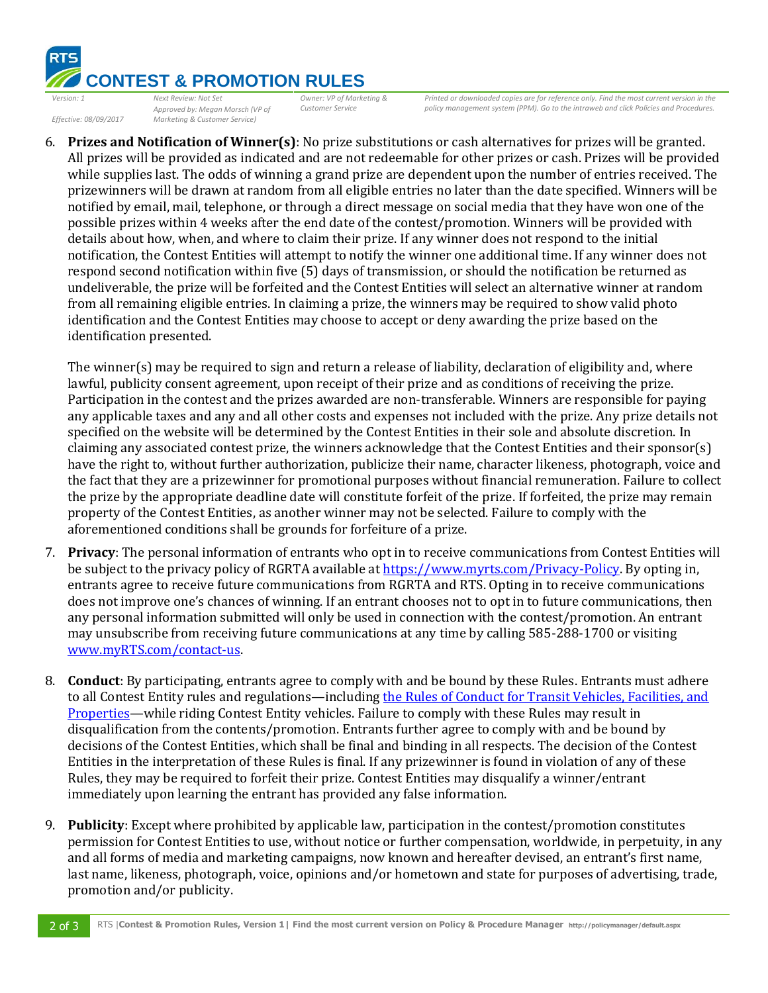

*Effective: 08/09/2017*

*Approved by: Megan Morsch (VP of Marketing & Customer Service)* 

*Printed or downloaded copies are for reference only. Find the most current version in the policy management system (PPM). Go to the intraweb and click Policies and Procedures.* 

6. **Prizes and Notification of Winner(s)**: No prize substitutions or cash alternatives for prizes will be granted. All prizes will be provided as indicated and are not redeemable for other prizes or cash. Prizes will be provided while supplies last. The odds of winning a grand prize are dependent upon the number of entries received. The prizewinners will be drawn at random from all eligible entries no later than the date specified. Winners will be notified by email, mail, telephone, or through a direct message on social media that they have won one of the possible prizes within 4 weeks after the end date of the contest/promotion. Winners will be provided with details about how, when, and where to claim their prize. If any winner does not respond to the initial notification, the Contest Entities will attempt to notify the winner one additional time. If any winner does not respond second notification within five (5) days of transmission, or should the notification be returned as undeliverable, the prize will be forfeited and the Contest Entities will select an alternative winner at random from all remaining eligible entries. In claiming a prize, the winners may be required to show valid photo identification and the Contest Entities may choose to accept or deny awarding the prize based on the identification presented.

*Customer Service*

The winner(s) may be required to sign and return a release of liability, declaration of eligibility and, where lawful, publicity consent agreement, upon receipt of their prize and as conditions of receiving the prize. Participation in the contest and the prizes awarded are non-transferable. Winners are responsible for paying any applicable taxes and any and all other costs and expenses not included with the prize. Any prize details not specified on the website will be determined by the Contest Entities in their sole and absolute discretion. In claiming any associated contest prize, the winners acknowledge that the Contest Entities and their sponsor(s) have the right to, without further authorization, publicize their name, character likeness, photograph, voice and the fact that they are a prizewinner for promotional purposes without financial remuneration. Failure to collect the prize by the appropriate deadline date will constitute forfeit of the prize. If forfeited, the prize may remain property of the Contest Entities, as another winner may not be selected. Failure to comply with the aforementioned conditions shall be grounds for forfeiture of a prize.

- 7. **Privacy**: The personal information of entrants who opt in to receive communications from Contest Entities will be subject to the privacy policy of RGRTA available a[t https://www.myrts.com/Privacy-Policy.](https://www.myrts.com/Privacy-Policy) By opting in, entrants agree to receive future communications from RGRTA and RTS. Opting in to receive communications does not improve one's chances of winning. If an entrant chooses not to opt in to future communications, then any personal information submitted will only be used in connection with the contest/promotion. An entrant may unsubscribe from receiving future communications at any time by calling 585-288-1700 or visiting [www.myRTS.com/contact-us.](http://www.myrts.com/contact-us)
- 8. **Conduct**: By participating, entrants agree to comply with and be bound by these Rules. Entrants must adhere to all Contest Entity rules and regulations—including the Rules of Conduct for Transit Vehicles, Facilities, and [Properties](https://www.myrts.com/LinkClick.aspx?fileticket=OnfXsezi4QA%3d&portalid=0)—while riding Contest Entity vehicles. Failure to comply with these Rules may result in disqualification from the contents/promotion. Entrants further agree to comply with and be bound by decisions of the Contest Entities, which shall be final and binding in all respects. The decision of the Contest Entities in the interpretation of these Rules is final. If any prizewinner is found in violation of any of these Rules, they may be required to forfeit their prize. Contest Entities may disqualify a winner/entrant immediately upon learning the entrant has provided any false information.
- 9. **Publicity**: Except where prohibited by applicable law, participation in the contest/promotion constitutes permission for Contest Entities to use, without notice or further compensation, worldwide, in perpetuity, in any and all forms of media and marketing campaigns, now known and hereafter devised, an entrant's first name, last name, likeness, photograph, voice, opinions and/or hometown and state for purposes of advertising, trade, promotion and/or publicity.